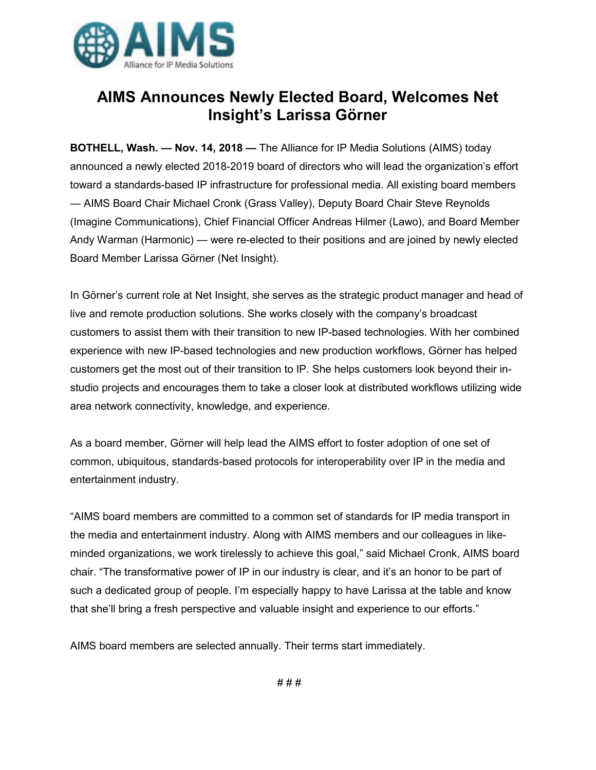

## **AIMS Announces Newly Elected Board, Welcomes Net Insight's Larissa Görner**

**BOTHELL, Wash. — Nov. 14, 2018 —** The Alliance for IP Media Solutions (AIMS) today announced a newly elected 2018-2019 board of directors who will lead the organization's effort toward a standards-based IP infrastructure for professional media. All existing board members — AIMS Board Chair Michael Cronk (Grass Valley), Deputy Board Chair Steve Reynolds (Imagine Communications), Chief Financial Officer Andreas Hilmer (Lawo), and Board Member Andy Warman (Harmonic) — were re-elected to their positions and are joined by newly elected Board Member Larissa Görner (Net Insight).

In Görner's current role at Net Insight, she serves as the strategic product manager and head of live and remote production solutions. She works closely with the company's broadcast customers to assist them with their transition to new IP-based technologies. With her combined experience with new IP-based technologies and new production workflows, Görner has helped customers get the most out of their transition to IP. She helps customers look beyond their instudio projects and encourages them to take a closer look at distributed workflows utilizing wide area network connectivity, knowledge, and experience.

As a board member, Görner will help lead the AIMS effort to foster adoption of one set of common, ubiquitous, standards-based protocols for interoperability over IP in the media and entertainment industry.

"AIMS board members are committed to a common set of standards for IP media transport in the media and entertainment industry. Along with AIMS members and our colleagues in likeminded organizations, we work tirelessly to achieve this goal," said Michael Cronk, AIMS board chair. "The transformative power of IP in our industry is clear, and it's an honor to be part of such a dedicated group of people. I'm especially happy to have Larissa at the table and know that she'll bring a fresh perspective and valuable insight and experience to our efforts."

AIMS board members are selected annually. Their terms start immediately.

# # #